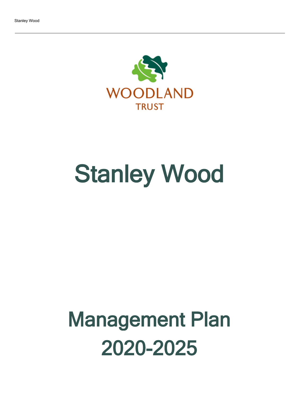

# Stanley Wood

## Management Plan 2020-2025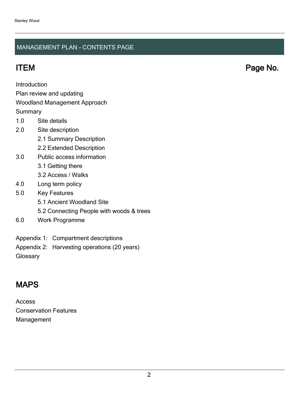#### MANAGEMENT PLAN - CONTENTS PAGE

ITEM Page No.

Introduction

Plan review and updating

#### Woodland Management Approach

**Summary** 

- 1.0 Site details
- 2.0 Site description
	- 2.1 Summary Description
	- 2.2 Extended Description
- 3.0 Public access information
	- 3.1 Getting there
	- 3.2 Access / Walks
- 4.0 Long term policy
- 5.0 Key Features
	- 5.1 Ancient Woodland Site
	- 5.2 Connecting People with woods & trees
- 6.0 Work Programme
- Appendix 1: Compartment descriptions
- Appendix 2: Harvesting operations (20 years)

**Glossary** 

## MAPS

Access Conservation Features Management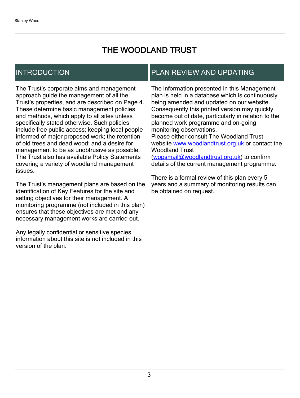## THE WOODLAND TRUST

## INTRODUCTION

The Trust's corporate aims and management approach guide the management of all the Trust's properties, and are described on Page 4. These determine basic management policies and methods, which apply to all sites unless specifically stated otherwise. Such policies include free public access; keeping local people informed of major proposed work; the retention of old trees and dead wood; and a desire for management to be as unobtrusive as possible. The Trust also has available Policy Statements covering a variety of woodland management issues.

The Trust's management plans are based on the identification of Key Features for the site and setting objectives for their management. A monitoring programme (not included in this plan) ensures that these objectives are met and any necessary management works are carried out.

Any legally confidential or sensitive species information about this site is not included in this version of the plan.

## PLAN REVIEW AND UPDATING

The information presented in this Management plan is held in a database which is continuously being amended and updated on our website. Consequently this printed version may quickly become out of date, particularly in relation to the planned work programme and on-going monitoring observations. Please either consult The Woodland Trust website [www.woodlandtrust.org.uk](http://www.woodlandtrust.org.uk/) or contact the Woodland Trust [\(wopsmail@woodlandtrust.org.uk](mailto:wopsmail@woodlandtrust.org.uk)) to confirm

details of the current management programme.

There is a formal review of this plan every 5 years and a summary of monitoring results can be obtained on request.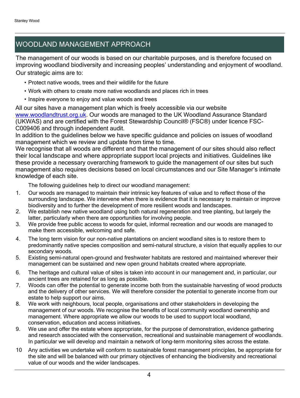## WOODLAND MANAGEMENT APPROACH

The management of our woods is based on our charitable purposes, and is therefore focused on improving woodland biodiversity and increasing peoples' understanding and enjoyment of woodland. Our strategic aims are to:

- Protect native woods, trees and their wildlife for the future
- Work with others to create more native woodlands and places rich in trees
- Inspire everyone to enjoy and value woods and trees

All our sites have a management plan which is freely accessible via our website [www.woodlandtrust.org.uk.](http://www.woodlandtrust.org.uk/) Our woods are managed to the UK Woodland Assurance Standard (UKWAS) and are certified with the Forest Stewardship Council® (FSC®) under licence FSC-C009406 and through independent audit.

In addition to the guidelines below we have specific guidance and policies on issues of woodland management which we review and update from time to time.

We recognise that all woods are different and that the management of our sites should also reflect their local landscape and where appropriate support local projects and initiatives. Guidelines like these provide a necessary overarching framework to guide the management of our sites but such management also requires decisions based on local circumstances and our Site Manager's intimate knowledge of each site.

The following guidelines help to direct our woodland management:

- 1. Our woods are managed to maintain their intrinsic key features of value and to reflect those of the surrounding landscape. We intervene when there is evidence that it is necessary to maintain or improve biodiversity and to further the development of more resilient woods and landscapes.
- 2. We establish new native woodland using both natural regeneration and tree planting, but largely the latter, particularly when there are opportunities for involving people.
- 3. We provide free public access to woods for quiet, informal recreation and our woods are managed to make them accessible, welcoming and safe.
- 4. The long term vision for our non-native plantations on ancient woodland sites is to restore them to predominantly native species composition and semi-natural structure, a vision that equally applies to our secondary woods.
- 5. Existing semi-natural open-ground and freshwater habitats are restored and maintained wherever their management can be sustained and new open ground habitats created where appropriate.
- 6. The heritage and cultural value of sites is taken into account in our management and, in particular, our ancient trees are retained for as long as possible.
- 7. Woods can offer the potential to generate income both from the sustainable harvesting of wood products and the delivery of other services. We will therefore consider the potential to generate income from our estate to help support our aims.
- 8. We work with neighbours, local people, organisations and other stakeholders in developing the management of our woods. We recognise the benefits of local community woodland ownership and management. Where appropriate we allow our woods to be used to support local woodland, conservation, education and access initiatives.
- 9. We use and offer the estate where appropriate, for the purpose of demonstration, evidence gathering and research associated with the conservation, recreational and sustainable management of woodlands. In particular we will develop and maintain a network of long-term monitoring sites across the estate.
- 10 Any activities we undertake will conform to sustainable forest management principles, be appropriate for the site and will be balanced with our primary objectives of enhancing the biodiversity and recreational value of our woods and the wider landscapes.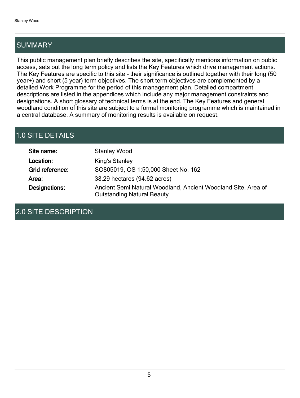## **SUMMARY**

This public management plan briefly describes the site, specifically mentions information on public access, sets out the long term policy and lists the Key Features which drive management actions. The Key Features are specific to this site - their significance is outlined together with their long (50 year+) and short (5 year) term objectives. The short term objectives are complemented by a detailed Work Programme for the period of this management plan. Detailed compartment descriptions are listed in the appendices which include any major management constraints and designations. A short glossary of technical terms is at the end. The Key Features and general woodland condition of this site are subject to a formal monitoring programme which is maintained in a central database. A summary of monitoring results is available on request.

## 1.0 SITE DETAILS

| Site name:      | <b>Stanley Wood</b>                                                                                |
|-----------------|----------------------------------------------------------------------------------------------------|
| Location:       | <b>King's Stanley</b>                                                                              |
| Grid reference: | SO805019, OS 1:50,000 Sheet No. 162                                                                |
| Area:           | 38.29 hectares (94.62 acres)                                                                       |
| Designations:   | Ancient Semi Natural Woodland, Ancient Woodland Site, Area of<br><b>Outstanding Natural Beauty</b> |

### 2.0 SITE DESCRIPTION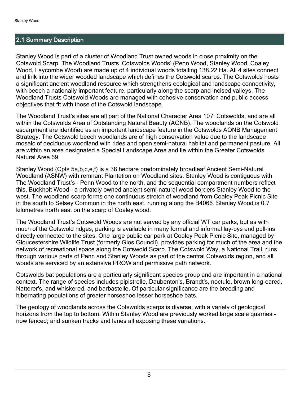#### 2.1 Summary Description

Stanley Wood is part of a cluster of Woodland Trust owned woods in close proximity on the Cotswold Scarp. The Woodland Trusts 'Cotswolds Woods' (Penn Wood, Stanley Wood, Coaley Wood, Laycombe Wood) are made up of 4 individual woods totalling 138.22 Ha. All 4 sites connect and link into the wider wooded landscape which defines the Cotswold scarps. The Cotswolds hosts a significant ancient woodland resource which strengthens ecological and landscape connectivity, with beech a nationally important feature, particularly along the scarp and incised valleys. The Woodland Trusts Cotswold Woods are managed with cohesive conservation and public access objectives that fit with those of the Cotswold landscape.

The Woodland Trust's sites are all part of the National Character Area 107: Cotswolds, and are all within the Cotswolds Area of Outstanding Natural Beauty (AONB). The woodlands on the Cotswold escarpment are identified as an important landscape feature in the Cotswolds AONB Management Strategy. The Cotswold beech woodlands are of high conservation value due to the landscape mosaic of deciduous woodland with rides and open semi-natural habitat and permanent pasture. All are within an area designated a Special Landscape Area and lie within the Greater Cotswolds Natural Area 69.

Stanley Wood (Cpts 5a,b,c,e,f) is a 38 hectare predominately broadleaf Ancient Semi-Natural Woodland (ASNW) with remnant Plantation on Woodland sites. Stanley Wood is contiguous with The Woodland Trust's - Penn Wood to the north, and the sequential compartment numbers reflect this. Buckholt Wood - a privately owned ancient semi-natural wood borders Stanley Wood to the west. The woodland scarp forms one continuous stretch of woodland from Coaley Peak Picnic Site in the south to Selsey Common in the north east, running along the B4066. Stanley Wood is 0.7 kilometres north east on the scarp of Coaley wood.

The Woodland Trust's Cotswold Woods are not served by any official WT car parks, but as with much of the Cotswold ridges, parking is available in many formal and informal lay-bys and pull-ins directly connected to the sites. One large public car park at Coaley Peak Picnic Site, managed by Gloucestershire Wildlife Trust (formerly Glos Council), provides parking for much of the area and the network of recreational space along the Cotswold Scarp. The Cotswold Way, a National Trail, runs through various parts of Penn and Stanley Woods as part of the central Cotswolds region, and all woods are serviced by an extensive PROW and permissive path network.

Cotswolds bat populations are a particularly significant species group and are important in a national context. The range of species includes pipistrelle, Daubenton's, Brandt's, noctule, brown long-eared, Natterer's, and whiskered, and barbastelle. Of particular significance are the breeding and hibernating populations of greater horseshoe lesser horseshoe bats.

The geology of woodlands across the Cotswolds scarps is diverse, with a variety of geological horizons from the top to bottom. Within Stanley Wood are previously worked large scale quarries now fenced; and sunken tracks and lanes all exposing these variations.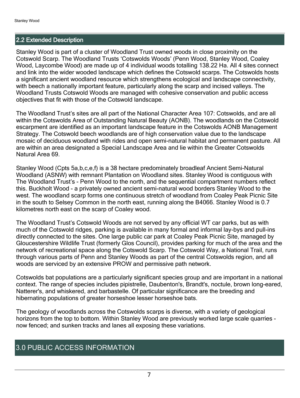#### 2.2 Extended Description

Stanley Wood is part of a cluster of Woodland Trust owned woods in close proximity on the Cotswold Scarp. The Woodland Trusts 'Cotswolds Woods' (Penn Wood, Stanley Wood, Coaley Wood, Laycombe Wood) are made up of 4 individual woods totalling 138.22 Ha. All 4 sites connect and link into the wider wooded landscape which defines the Cotswold scarps. The Cotswolds hosts a significant ancient woodland resource which strengthens ecological and landscape connectivity, with beech a nationally important feature, particularly along the scarp and incised valleys. The Woodland Trusts Cotswold Woods are managed with cohesive conservation and public access objectives that fit with those of the Cotswold landscape.

The Woodland Trust's sites are all part of the National Character Area 107: Cotswolds, and are all within the Cotswolds Area of Outstanding Natural Beauty (AONB). The woodlands on the Cotswold escarpment are identified as an important landscape feature in the Cotswolds AONB Management Strategy. The Cotswold beech woodlands are of high conservation value due to the landscape mosaic of deciduous woodland with rides and open semi-natural habitat and permanent pasture. All are within an area designated a Special Landscape Area and lie within the Greater Cotswolds Natural Area 69.

Stanley Wood (Cpts 5a,b,c,e,f) is a 38 hectare predominately broadleaf Ancient Semi-Natural Woodland (ASNW) with remnant Plantation on Woodland sites. Stanley Wood is contiguous with The Woodland Trust's - Penn Wood to the north, and the sequential compartment numbers reflect this. Buckholt Wood - a privately owned ancient semi-natural wood borders Stanley Wood to the west. The woodland scarp forms one continuous stretch of woodland from Coaley Peak Picnic Site in the south to Selsey Common in the north east, running along the B4066. Stanley Wood is 0.7 kilometres north east on the scarp of Coaley wood.

The Woodland Trust's Cotswold Woods are not served by any official WT car parks, but as with much of the Cotswold ridges, parking is available in many formal and informal lay-bys and pull-ins directly connected to the sites. One large public car park at Coaley Peak Picnic Site, managed by Gloucestershire Wildlife Trust (formerly Glos Council), provides parking for much of the area and the network of recreational space along the Cotswold Scarp. The Cotswold Way, a National Trail, runs through various parts of Penn and Stanley Woods as part of the central Cotswolds region, and all woods are serviced by an extensive PROW and permissive path network.

Cotswolds bat populations are a particularly significant species group and are important in a national context. The range of species includes pipistrelle, Daubenton's, Brandt's, noctule, brown long-eared, Natterer's, and whiskered, and barbastelle. Of particular significance are the breeding and hibernating populations of greater horseshoe lesser horseshoe bats.

The geology of woodlands across the Cotswolds scarps is diverse, with a variety of geological horizons from the top to bottom. Within Stanley Wood are previously worked large scale quarries now fenced; and sunken tracks and lanes all exposing these variations.

### 3.0 PUBLIC ACCESS INFORMATION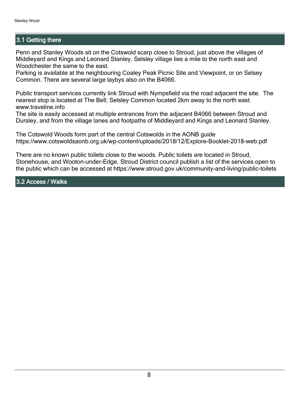#### 3.1 Getting there

Penn and Stanley Woods sit on the Cotswold scarp close to Stroud, just above the villages of Middleyard and Kings and Leonard Stanley. Selsley village lies a mile to the north east and Woodchester the same to the east.

Parking is available at the neighbouring Coaley Peak Picnic Site and Viewpoint, or on Selsey Common. There are several large laybys also on the B4066.

Public transport services currently link Stroud with Nympsfield via the road adjacent the site. The nearest stop is located at The Bell; Selsley Common located 2km away to the north east. www.traveline.info

The site is easily accessed at multiple entrances from the adjacent B4066 between Stroud and Dursley, and from the village lanes and footpaths of Middleyard and Kings and Leonard Stanley.

The Cotswold Woods form part of the central Cotswolds in the AONB guide https://www.cotswoldsaonb.org.uk/wp-content/uploads/2018/12/Explore-Booklet-2018-web.pdf

There are no known public toilets close to the woods. Public toilets are located in Stroud, Stonehouse, and Wooton-under-Edge. Stroud District council publish a list of the services open to the public which can be accessed at https://www.stroud.gov.uk/community-and-living/public-toilets

3.2 Access / Walks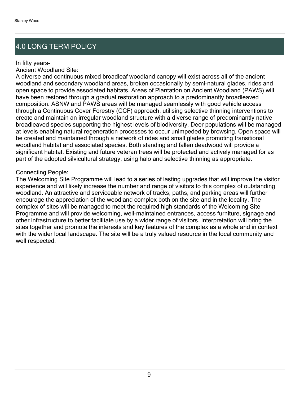## 4.0 LONG TERM POLICY

#### In fifty years-

Ancient Woodland Site:

A diverse and continuous mixed broadleaf woodland canopy will exist across all of the ancient woodland and secondary woodland areas, broken occasionally by semi-natural glades, rides and open space to provide associated habitats. Areas of Plantation on Ancient Woodland (PAWS) will have been restored through a gradual restoration approach to a predominantly broadleaved composition. ASNW and PAWS areas will be managed seamlessly with good vehicle access through a Continuous Cover Forestry (CCF) approach, utilising selective thinning interventions to create and maintain an irregular woodland structure with a diverse range of predominantly native broadleaved species supporting the highest levels of biodiversity. Deer populations will be managed at levels enabling natural regeneration processes to occur unimpeded by browsing. Open space will be created and maintained through a network of rides and small glades promoting transitional woodland habitat and associated species. Both standing and fallen deadwood will provide a significant habitat. Existing and future veteran trees will be protected and actively managed for as part of the adopted silvicultural strategy, using halo and selective thinning as appropriate.

#### Connecting People:

The Welcoming Site Programme will lead to a series of lasting upgrades that will improve the visitor experience and will likely increase the number and range of visitors to this complex of outstanding woodland. An attractive and serviceable network of tracks, paths, and parking areas will further encourage the appreciation of the woodland complex both on the site and in the locality. The complex of sites will be managed to meet the required high standards of the Welcoming Site Programme and will provide welcoming, well-maintained entrances, access furniture, signage and other infrastructure to better facilitate use by a wider range of visitors. Interpretation will bring the sites together and promote the interests and key features of the complex as a whole and in context with the wider local landscape. The site will be a truly valued resource in the local community and well respected.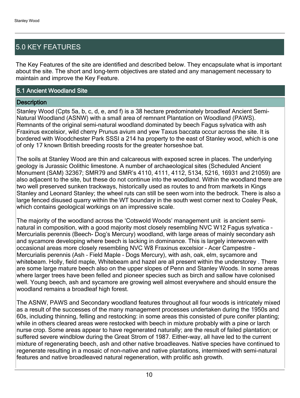## 5.0 KEY FEATURES

The Key Features of the site are identified and described below. They encapsulate what is important about the site. The short and long-term objectives are stated and any management necessary to maintain and improve the Key Feature.

#### 5.1 Ancient Woodland Site

#### **Description**

Stanley Wood (Cpts 5a, b, c, d, e, and f) is a 38 hectare predominately broadleaf Ancient Semi-Natural Woodland (ASNW) with a small area of remnant Plantation on Woodland (PAWS). Remnants of the original semi-natural woodland dominated by beech Fagus sylvatica with ash Fraxinus excelsior, wild cherry Prunus avium and yew Taxus baccata occur across the site. It is bordered with Woodchester Park SSSI a 214 ha property to the east of Stanley wood, which is one of only 17 known British breeding roosts for the greater horseshoe bat.

The soils at Stanley Wood are thin and calcareous with exposed scree in places. The underlying geology is Jurassic Oolithic limestone. A number of archaeological sites (Scheduled Ancient Monument (SAM) 32367; SMR79 and SMR's 4110, 4111, 4112, 5134, 5216, 16931 and 21059) are also adjacent to the site, but these do not continue into the woodland. Within the woodland there are two well preserved sunken trackways, historically used as routes to and from markets in Kings Stanley and Leonard Stanley; the wheel ruts can still be seen worn into the bedrock. There is also a large fenced disused quarry within the WT boundary in the south west corner next to Coaley Peak, which contains geological workings on an impressive scale.

The majority of the woodland across the 'Cotswold Woods' management unit is ancient seminatural in composition, with a good majority most closely resembling NVC W12 Fagus sylvatica -Mercurialis perennis (Beech- Dog's Mercury) woodland, with large areas of mainly secondary ash and sycamore developing where beech is lacking in dominance. This is largely interwoven with occasional areas more closely resembling NVC W8 Fraxinus excelsior - Acer Campestre -Mercurialis perennis (Ash - Field Maple - Dogs Mercury), with ash, oak, elm, sycamore and whitebeam. Holly, field maple, Whitebeam and hazel are all present within the understorey . There are some large mature beech also on the upper slopes of Penn and Stanley Woods. In some areas where larger trees have been felled and pioneer species such as birch and sallow have colonised well. Young beech, ash and sycamore are growing well almost everywhere and should ensure the woodland remains a broadleaf high forest.

The ASNW, PAWS and Secondary woodland features throughout all four woods is intricately mixed as a result of the successes of the many management processes undertaken during the 1950s and 60s, including thinning, felling and restocking: in some areas this consisted of pure conifer planting; while in others cleared areas were restocked with beech in mixture probably with a pine or larch nurse crop. Some areas appear to have regenerated naturally; are the result of failed plantation; or suffered severe windblow during the Great Strom of 1987. Either-way, all have led to the current mixture of regenerating beech, ash and other native broadleaves. Native species have continued to regenerate resulting in a mosaic of non-native and native plantations, intermixed with semi-natural features and native broadleaved natural regeneration, with prolific ash growth.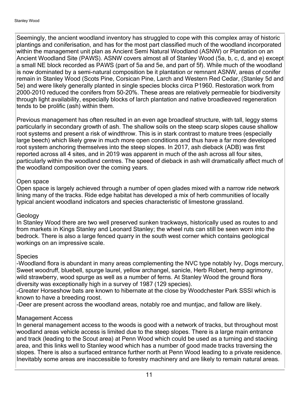Seemingly, the ancient woodland inventory has struggled to cope with this complex array of historic plantings and coniferisation, and has for the most part classified much of the woodland incorporated within the management unit plan as Ancient Semi Natural Woodland (ASNW) or Plantation on an Ancient Woodland Site (PAWS). ASNW covers almost all of Stanley Wood (5a, b, c, d, and e) except a small NE block recorded as PAWS (part of 5a and 5e, and part of 5f). While much of the woodland is now dominated by a semi-natural composition be it plantation or remnant ASNW, areas of conifer remain in Stanley Wood (Scots Pine, Corsican Pine, Larch and Western Red Cedar, (Stanley 5d and 5e) and were likely generally planted in single species blocks circa P1960. Restoration work from 2000-2010 reduced the conifers from 50-20%. These areas are relatively permeable for biodiversity through light availability, especially blocks of larch plantation and native broadleaved regeneration tends to be prolific (ash) within them.

Previous management has often resulted in an even age broadleaf structure, with tall, leggy stems particularly in secondary growth of ash. The shallow soils on the steep scarp slopes cause shallow root systems and present a risk of windthrow. This is in stark contrast to mature trees (especially large beech) which likely grew in much more open conditions and thus have a far more developed root system anchoring themselves into the steep slopes. In 2017, ash dieback (ADB) was first reported across all 4 sites, and in 2019 was apparent in much of the ash across all four sites, particularly within the woodland centres. The speed of dieback in ash will dramatically affect much of the woodland composition over the coming years.

#### Open space

Open space is largely achieved through a number of open glades mixed with a narrow ride network lining many of the tracks. Ride edge habitat has developed a mix of herb communities of locally typical ancient woodland indicators and species characteristic of limestone grassland.

#### Geology

In Stanley Wood there are two well preserved sunken trackways, historically used as routes to and from markets in Kings Stanley and Leonard Stanley; the wheel ruts can still be seen worn into the bedrock. There is also a large fenced quarry in the south west corner which contains geological workings on an impressive scale.

#### **Species**

-Woodland flora is abundant in many areas complementing the NVC type notably Ivy, Dogs mercury, Sweet woodruff, bluebell, spurge laurel, yellow archangel, sanicle, Herb Robert, hemp agrimony, wild strawberry, wood spurge as well as a number of ferns. At Stanley Wood the ground flora diversity was exceptionally high in a survey of 1987 (129 species).

-Greater Horseshow bats are known to hibernate at the close by Woodchester Park SSSI which is known to have a breeding roost.

-Deer are present across the woodland areas, notably roe and muntjac, and fallow are likely.

#### Management Access

In general management access to the woods is good with a network of tracks, but throughout most woodland areas vehicle access is limited due to the steep slopes. There is a large main entrance and track (leading to the Scout area) at Penn Wood which could be used as a turning and stacking area, and this links well to Stanley wood which has a number of good made tracks traversing the slopes. There is also a surfaced entrance further north at Penn Wood leading to a private residence. Inevitably some areas are inaccessible to forestry machinery and are likely to remain natural areas.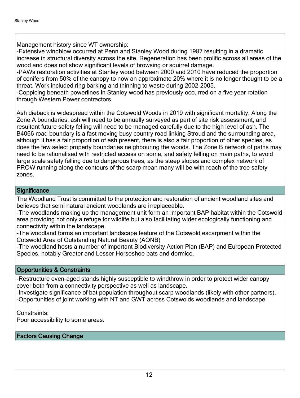Management history since WT ownership:

-Extensive windblow occurred at Penn and Stanley Wood during 1987 resulting in a dramatic increase in structural diversity across the site. Regeneration has been prolific across all areas of the wood and does not show significant levels of browsing or squirrel damage.

-PAWs restoration activities at Stanley wood between 2000 and 2010 have reduced the proportion of conifers from 50% of the canopy to now an approximate 20% where it is no longer thought to be a threat. Work included ring barking and thinning to waste during 2002-2005.

-Coppicing beneath powerlines in Stanley wood has previously occurred on a five year rotation through Western Power contractors.

Ash dieback is widespread within the Cotswold Woods in 2019 with significant mortality. Along the Zone A boundaries, ash will need to be annually surveyed as part of site risk assessment, and resultant future safety felling will need to be managed carefully due to the high level of ash. The B4066 road boundary is a fast moving busy country road linking Stroud and the surrounding area, although it has a fair proportion of ash present, there is also a fair proportion of other species, as does the few select property boundaries neighbouring the woods. The Zone B network of paths may need to be rationalised with restricted access on some, and safety felling on main paths, to avoid large scale safety felling due to dangerous trees, as the steep slopes and complex network of PROW running along the contours of the scarp mean many will be with reach of the tree safety zones.

#### **Significance**

The Woodland Trust is committed to the protection and restoration of ancient woodland sites and believes that semi natural ancient woodlands are irreplaceable.

-The woodlands making up the management unit form an important BAP habitat within the Cotswold area providing not only a refuge for wildlife but also facilitating wider ecologically functioning and connectivity within the landscape.

-The woodland forms an important landscape feature of the Cotswold escarpment within the Cotswold Area of Outstanding Natural Beauty (AONB)

-The woodland hosts a number of important Biodiversity Action Plan (BAP) and European Protected Species, notably Greater and Lesser Horseshoe bats and dormice.

#### Opportunities & Constraints

-Restructure even-aged stands highly susceptible to windthrow in order to protect wider canopy cover both from a connectivity perspective as well as landscape.

-Investigate significance of bat population throughout scarp woodlands (likely with other partners). -Opportunities of joint working with NT and GWT across Cotswolds woodlands and landscape.

Constraints:

Poor accessibility to some areas.

#### Factors Causing Change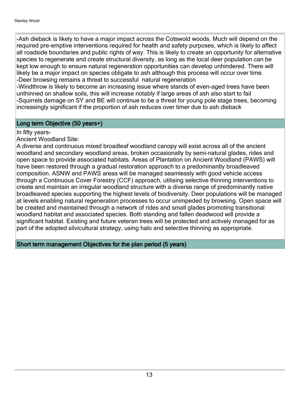-Ash dieback is likely to have a major impact across the Cotswold woods. Much will depend on the required pre-emptive interventions required for health and safety purposes, which is likely to affect all roadside boundaries and public rights of way. This is likely to create an opportunity for alternative species to regenerate and create structural diversity, as long as the local deer population can be kept low enough to ensure natural regeneration opportunities can develop unhindered. There will likely be a major impact on species obligate to ash although this process will occur over time. -Deer browsing remains a threat to successful natural regeneration

-Windthrow is likely to become an increasing issue where stands of even-aged trees have been unthinned on shallow soils, this will increase notably if large areas of ash also start to fail -Squirrels damage on SY and BE will continue to be a threat for young pole stage trees, becoming increasingly significant if the proportion of ash reduces over timer due to ash dieback

#### Long term Objective (50 years+)

#### In fifty years-

Ancient Woodland Site:

A diverse and continuous mixed broadleaf woodland canopy will exist across all of the ancient woodland and secondary woodland areas, broken occasionally by semi-natural glades, rides and open space to provide associated habitats. Areas of Plantation on Ancient Woodland (PAWS) will have been restored through a gradual restoration approach to a predominantly broadleaved composition. ASNW and PAWS areas will be managed seamlessly with good vehicle access through a Continuous Cover Forestry (CCF) approach, utilising selective thinning interventions to create and maintain an irregular woodland structure with a diverse range of predominantly native broadleaved species supporting the highest levels of biodiversity. Deer populations will be managed at levels enabling natural regeneration processes to occur unimpeded by browsing. Open space will be created and maintained through a network of rides and small glades promoting transitional woodland habitat and associated species. Both standing and fallen deadwood will provide a significant habitat. Existing and future veteran trees will be protected and actively managed for as part of the adopted silvicultural strategy, using halo and selective thinning as appropriate.

Short term management Objectives for the plan period (5 years)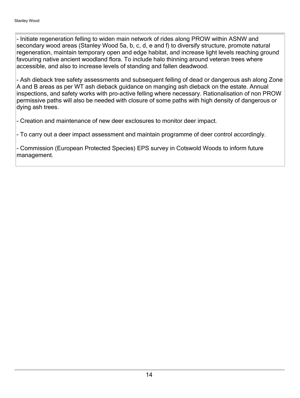- Initiate regeneration felling to widen main network of rides along PROW within ASNW and secondary wood areas (Stanley Wood 5a, b, c, d, e and f) to diversify structure, promote natural regeneration, maintain temporary open and edge habitat, and increase light levels reaching ground favouring native ancient woodland flora. To include halo thinning around veteran trees where accessible, and also to increase levels of standing and fallen deadwood.

- Ash dieback tree safety assessments and subsequent felling of dead or dangerous ash along Zone A and B areas as per WT ash dieback guidance on manging ash dieback on the estate. Annual inspections, and safety works with pro-active felling where necessary. Rationalisation of non PROW permissive paths will also be needed with closure of some paths with high density of dangerous or dying ash trees.

- Creation and maintenance of new deer exclosures to monitor deer impact.

- To carry out a deer impact assessment and maintain programme of deer control accordingly.

- Commission (European Protected Species) EPS survey in Cotswold Woods to inform future management.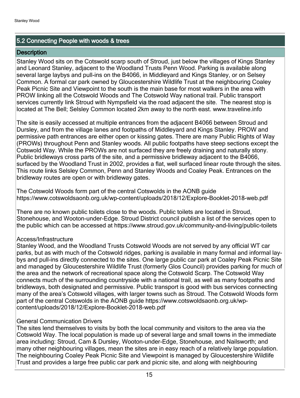#### 5.2 Connecting People with woods & trees

#### **Description**

Stanley Wood sits on the Cotswold scarp south of Stroud, just below the villages of Kings Stanley and Leonard Stanley, adjacent to the Woodland Trusts Penn Wood. Parking is available along several large laybys and pull-ins on the B4066, in Middleyard and Kings Stanley, or on Selsey Common. A formal car park owned by Gloucestershire Wildlife Trust at the neighbouring Coaley Peak Picnic Site and Viewpoint to the south is the main base for most walkers in the area with PROW linking all the Cotswold Woods and The Cotswold Way national trail. Public transport services currently link Stroud with Nympsfield via the road adjacent the site. The nearest stop is located at The Bell; Selsley Common located 2km away to the north east. www.traveline.info

The site is easily accessed at multiple entrances from the adjacent B4066 between Stroud and Dursley, and from the village lanes and footpaths of Middleyard and Kings Stanley. PROW and permissive path entrances are either open or kissing gates. There are many Public Rights of Way (PROWs) throughout Penn and Stanley woods. All public footpaths have steep sections except the Cotswold Way. While the PROWs are not surfaced they are freely draining and naturally stony. Public bridleways cross parts of the site, and a permissive bridleway adjacent to the B4066, surfaced by the Woodland Trust in 2002, provides a flat, well surfaced linear route through the sites. This route links Selsley Common, Penn and Stanley Woods and Coaley Peak. Entrances on the bridleway routes are open or with bridleway gates.

The Cotswold Woods form part of the central Cotswolds in the AONB guide https://www.cotswoldsaonb.org.uk/wp-content/uploads/2018/12/Explore-Booklet-2018-web.pdf

There are no known public toilets close to the woods. Public toilets are located in Stroud, Stonehouse, and Wooton-under-Edge. Stroud District council publish a list of the services open to the public which can be accessed at https://www.stroud.gov.uk/community-and-living/public-toilets

#### Access/Infrastructure

Stanley Wood, and the Woodland Trusts Cotswold Woods are not served by any official WT car parks, but as with much of the Cotswold ridges, parking is available in many formal and informal laybys and pull-ins directly connected to the sites. One large public car park at Coaley Peak Picnic Site and managed by Gloucestershire Wildlife Trust (formerly Glos Council) provides parking for much of the area and the network of recreational space along the Cotswold Scarp. The Cotswold Way connects much of the surrounding countryside with a national trail, as well as many footpaths and bridleways, both designated and permissive. Public transport is good with bus services connecting many of the area's Cotswold villages, with larger towns such as Stroud. The Cotswold Woods form part of the central Cotswolds in the AONB guide https://www.cotswoldsaonb.org.uk/wpcontent/uploads/2018/12/Explore-Booklet-2018-web.pdf

#### General Communication Drivers

The sites lend themselves to visits by both the local community and visitors to the area via the Cotswold Way. The local population is made up of several large and small towns in the immediate area including: Stroud, Cam & Dursley, Wooton-under-Edge, Stonehouse, and Nailsworth; and many other neighbouring villages, mean the sites are in easy reach of a relatively large population. The neighbouring Coaley Peak Picnic Site and Viewpoint is managed by Gloucestershire Wildlife Trust and provides a large free public car park and picnic site, and along with neighbouring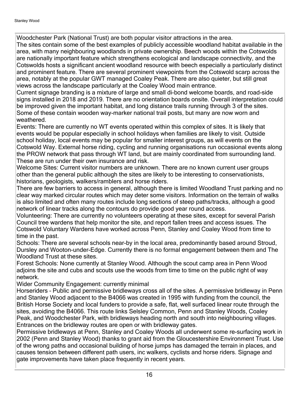Woodchester Park (National Trust) are both popular visitor attractions in the area.

The sites contain some of the best examples of publicly accessible woodland habitat available in the area, with many neighbouring woodlands in private ownership. Beech woods within the Cotswolds are nationally important feature which strengthens ecological and landscape connectivity, and the Cotswolds hosts a significant ancient woodland resource with beech especially a particularly distinct and prominent feature. There are several prominent viewpoints from the Cotswold scarp across the area, notably at the popular GWT managed Coaley Peak. There are also quieter, but still great views across the landscape particularly at the Coaley Wood main entrance.

Current signage branding is a mixture of large and small di-bond welcome boards, and road-side signs installed in 2018 and 2019. There are no orientation boards onsite. Overall interpretation could be improved given the important habitat, and long distance trails running through 3 of the sites. Some of these contain wooden way-marker national trail posts, but many are now worn and weathered.

Events: There are currently no WT events operated within this complex of sites. It is likely that events would be popular especially in school holidays when families are likely to visit. Outside school holiday, local events may be popular for smaller interest groups, as will events on the Cotswold Way. External horse riding, cycling and running organisations run occasional events along the PROW network that pass through WT land, but are mainly coordinated from surrounding land. These are run under their own insurance and risk.

Welcome Sites: Current visitor numbers are unknown. There are no known current user groups other than the general public although the sites are likely to be interesting to conservationists, historians, geologists, walkers/ramblers and horse riders.

There are few barriers to access in general, although there is limited Woodland Trust parking and no clear way marked circular routes which may deter some visitors. Information on the terrain of walks is also limited and often many routes include long sections of steep paths/tracks, although a good network of linear tracks along the contours do provide good year round access.

Volunteering: There are currently no volunteers operating at these sites, except for several Parish Council tree wardens that help monitor the site, and report fallen trees and access issues. The Cotswold Voluntary Wardens have worked across Penn, Stanley and Coaley Wood from time to time in the past.

Schools: There are several schools near-by in the local area, predominantly based around Stroud, Dursley and Wooton-under-Edge. Currently there is no formal engagement between them and The Woodland Trust at these sites.

Forest Schools: None currently at Stanley Wood. Although the scout camp area in Penn Wood adjoins the site and cubs and scouts use the woods from time to time on the public right of way network.

Wider Community Engagement: currently minimal

Horseriders - Public and permissive bridleways cross all of the sites. A permissive bridleway in Penn and Stanley Wood adjacent to the B4066 was created in 1995 with funding from the council, the British Horse Society and local funders to provide a safe, flat, well surfaced linear route through the sites, avoiding the B4066. This route links Selsley Common, Penn and Stanley Woods, Coaley Peak, and Woodchester Park, with bridleways heading north and south into neighbouring villages. Entrances on the bridleway routes are open or with bridleway gates.

Permissive bridleways at Penn, Stanley and Coaley Woods all underwent some re-surfacing work in 2002 (Penn and Stanley Wood) thanks to grant aid from the Gloucestershire Environment Trust. Use of the wrong paths and occasional building of horse jumps has damaged the terrain in places, and causes tension between different path users, inc walkers, cyclists and horse riders. Signage and gate improvements have taken place frequently in recent years.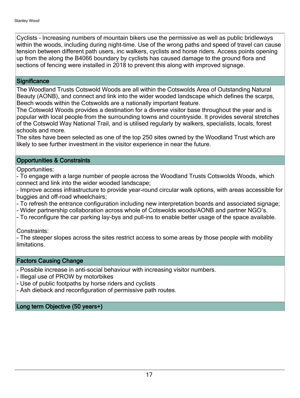Cyclists - Increasing numbers of mountain bikers use the permissive as well as public bridleways within the woods, including during night-time. Use of the wrong paths and speed of travel can cause tension between different path users, inc walkers, cyclists and horse riders. Access points opening up from the along the B4066 boundary by cyclists has caused damage to the ground flora and sections of fencing were installed in 2018 to prevent this along with improved signage.

#### **Significance**

The Woodland Trusts Cotswold Woods are all within the Cotswolds Area of Outstanding Natural Beauty (AONB), and connect and link into the wider wooded landscape which defines the scarps, Beech woods within the Cotswolds are a nationally important feature.

The Cotswold Woods provides a destination for a diverse visitor base throughout the year and is popular with local people from the surrounding towns and countryside. It provides several stretches of the Cotswold Way National Trail, and is utilised regularly by walkers, specialists, locals, forest schools and more.

The sites have been selected as one of the top 250 sites owned by the Woodland Trust which are likely to see further investment in the visitor experience in near the future.

#### Opportunities & Constraints

Opportunities:

- To engage with a large number of people across the Woodland Trusts Cotswolds Woods, which connect and link into the wider wooded landscape;

- Improve access infrastructure to provide year-round circular walk options, with areas accessible for buggies and off-road wheelchairs;

- To refresh the entrance configuration including new interpretation boards and associated signage;

- Wider partnership collaboration across whole of Cotswolds woods/AONB and partner NGO's.

- To reconfigure the car parking lay-bys and pull-ins to enable better usage of the space available.

Constraints:

- The steeper slopes across the sites restrict access to some areas by those people with mobility limitations.

#### Factors Causing Change

- Possible increase in anti-social behaviour with increasing visitor numbers.
- Illegal use of PROW by motorbikes
- Use of public footpaths by horse riders and cyclists
- Ash dieback and reconfiguration of permissive path routes.

#### Long term Objective (50 years+)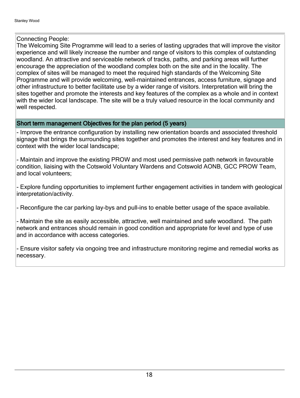#### Connecting People:

The Welcoming Site Programme will lead to a series of lasting upgrades that will improve the visitor experience and will likely increase the number and range of visitors to this complex of outstanding woodland. An attractive and serviceable network of tracks, paths, and parking areas will further encourage the appreciation of the woodland complex both on the site and in the locality. The complex of sites will be managed to meet the required high standards of the Welcoming Site Programme and will provide welcoming, well-maintained entrances, access furniture, signage and other infrastructure to better facilitate use by a wider range of visitors. Interpretation will bring the sites together and promote the interests and key features of the complex as a whole and in context with the wider local landscape. The site will be a truly valued resource in the local community and well respected.

#### Short term management Objectives for the plan period (5 years)

- Improve the entrance configuration by installing new orientation boards and associated threshold signage that brings the surrounding sites together and promotes the interest and key features and in context with the wider local landscape;

- Maintain and improve the existing PROW and most used permissive path network in favourable condition, liaising with the Cotswold Voluntary Wardens and Cotswold AONB, GCC PROW Team, and local volunteers;

- Explore funding opportunities to implement further engagement activities in tandem with geological interpretation/activity.

- Reconfigure the car parking lay-bys and pull-ins to enable better usage of the space available.

- Maintain the site as easily accessible, attractive, well maintained and safe woodland. The path network and entrances should remain in good condition and appropriate for level and type of use and in accordance with access categories.

- Ensure visitor safety via ongoing tree and infrastructure monitoring regime and remedial works as necessary.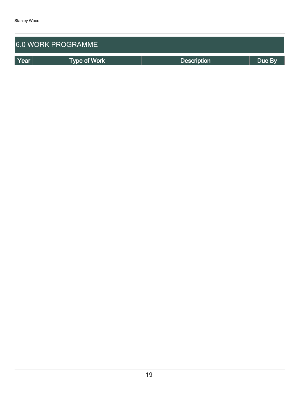| <b>6.0 WORK PROGRAMME</b> |              |                    |        |  |  |  |
|---------------------------|--------------|--------------------|--------|--|--|--|
| Year                      | Type of Work | <b>Description</b> | Due By |  |  |  |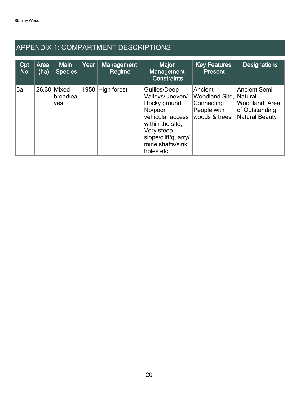## APPENDIX 1: COMPARTMENT DESCRIPTIONS

| Cpt<br>No. | Area<br>(ha) | <b>Main</b><br><b>Species</b>         | Year | <b>Management</b><br>Regime | <b>Major</b><br>Management<br><b>Constraints</b>                                                                                                                          | <b>Key Features</b><br><b>Present</b>                                                  | <b>Designations</b>                                                              |
|------------|--------------|---------------------------------------|------|-----------------------------|---------------------------------------------------------------------------------------------------------------------------------------------------------------------------|----------------------------------------------------------------------------------------|----------------------------------------------------------------------------------|
| 5a         |              | 26.30 Mixed<br>broadlea<br><b>ves</b> |      | 1950 High forest            | Gullies/Deep<br>Valleys/Uneven/<br>Rocky ground,<br>No/poor<br>vehicular access<br>within the site,<br>Very steep<br>slope/cliff/quarry/<br>mine shafts/sink<br>holes etc | Ancient<br><b>Woodland Site, Natural</b><br>Connecting<br>People with<br>woods & trees | <b>Ancient Semi</b><br>Woodland, Area<br>of Outstanding<br><b>Natural Beauty</b> |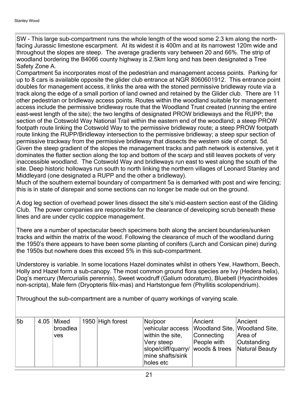SW - This large sub-compartment runs the whole length of the wood some 2.3 km along the northfacing Jurassic limestone escarpment. At its widest it is 400m and at its narrowest 120m wide and throughout the slopes are steep. The average gradients vary between 20 and 66%. The strip of woodland bordering the B4066 county highway is 2.5km long and has been designated a Tree Safety Zone A.

Compartment 5a incorporates most of the pedestrian and management access points. Parking for up to 8 cars is available opposite the glider club entrance at NGR 8060601912. This entrance point doubles for management access, it links the area with the stoned permissive bridleway route via a track along the edge of a small portion of land owned and retained by the Glider club. There are 11 other pedestrian or bridleway access points. Routes within the woodland suitable for management access include the permissive bridleway route that the Woodland Trust created (running the entire east-west length of the site); the two lengths of designated PROW bridleways and the RUPP; the section of the Cotswold Way National Trail within the eastern end of the woodland; a steep PROW footpath route linking the Cotswold Way to the permissive bridleway route; a steep PROW footpath route linking the RUPP/Bridleway intersection to the permissive bridleway; a steep spur section of permissive trackway from the permissive bridleway that dissects the western side of compt. 5d. Given the steep gradient of the slopes the management tracks and path network is extensive, yet it dominates the flatter section along the top and bottom of the scarp and still leaves pockets of very inaccessible woodland. The Cotswold Way and bridleways run east to west along the south of the site. Deep historic holloways run south to north linking the northern villages of Leonard Stanley and Middleyard (one designated a RUPP and the other a bridleway).

Much of the southern external boundary of compartment 5a is demarked with post and wire fencing; this is in state of disrepair and some sections can no longer be made out on the ground.

A dog leg section of overhead power lines dissect the site's mid-eastern section east of the Gliding Club. The power companies are responsible for the clearance of developing scrub beneath these lines and are under cyclic coppice management.

There are a number of spectacular beech specimens both along the ancient boundaries/sunken tracks and within the matrix of the wood. Following the clearance of much of the woodland during the 1950's there appears to have been some planting of conifers (Larch and Corsican pine) during the 1950s but nowhere does this exceed 5% in this sub-compartment.

Understorey is variable. In some locations Hazel dominates whilst in others Yew, Hawthorn, Beech, Holly and Hazel form a sub-canopy. The most common ground flora species are Ivy (Hedera helix), Dog's mercury (Mercurialis perennis), Sweet woodruff (Galium odoratum), Bluebell (Hyacinthoides non-scripta), Male fern (Dryopteris filix-mas) and Hartstongue fern (Phyllitis scolopendrium).

Throughout the sub-compartment are a number of quarry workings of varying scale.

| 5b | $4.05$ Mixed<br>broadlea | 1950 High forest | No/poor<br>vehicular access  Woodland Site,  Woodland Site,                                                         | Ancient                   | Ancient                |
|----|--------------------------|------------------|---------------------------------------------------------------------------------------------------------------------|---------------------------|------------------------|
|    | ves                      |                  | within the site,<br>Very steep<br>slope/cliff/quarry/ woods & trees Natural Beauty<br>mine shafts/sink<br>holes etc | Connecting<br>People with | Area of<br>Outstanding |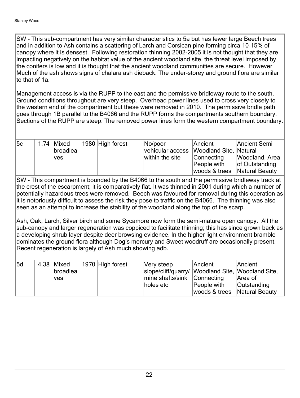SW - This sub-compartment has very similar characteristics to 5a but has fewer large Beech trees and in addition to Ash contains a scattering of Larch and Corsican pine forming circa 10-15% of canopy where it is densest. Following restoration thinning 2002-2005 it is not thought that they are impacting negatively on the habitat value of the ancient woodland site, the threat level imposed by the conifers is low and it is thought that the ancient woodland communities are secure. However Much of the ash shows signs of chalara ash dieback. The under-storey and ground flora are similar to that of 1a.

Management access is via the RUPP to the east and the permissive bridleway route to the south. Ground conditions throughout are very steep. Overhead power lines used to cross very closely to the western end of the compartment but these were removed in 2010. The permissive bridle path goes through 1B parallel to the B4066 and the RUPP forms the compartments southern boundary. Sections of the RUPP are steep. The removed power lines form the western compartment boundary.

| 5c | 1.74 $Mixed$ | 1980 High forest | No/poor                                 | Ancient                      | Ancient Semi   |
|----|--------------|------------------|-----------------------------------------|------------------------------|----------------|
|    | broadlea     |                  | vehicular access Woodland Site, Natural |                              |                |
|    | <b>ves</b>   |                  | within the site                         | <b>Connecting</b>            | Woodland, Area |
|    |              |                  |                                         | People with                  | of Outstanding |
|    |              |                  |                                         | woods & trees Natural Beauty |                |

SW - This compartment is bounded by the B4066 to the south and the permissive bridleway track at the crest of the escarpment; it is comparatively flat. It was thinned in 2001 during which a number of potentially hazardous trees were removed. Beech was favoured for removal during this operation as it is notoriously difficult to assess the risk they pose to traffic on the B4066. The thinning was also seen as an attempt to increase the stability of the woodland along the top of the scarp.

Ash, Oak, Larch, Silver birch and some Sycamore now form the semi-mature open canopy. All the sub-canopy and larger regeneration was coppiced to facilitate thinning; this has since grown back as a developing shrub layer despite deer browsing evidence. In the higher light environment bramble dominates the ground flora although Dog's mercury and Sweet woodruff are occasionally present. Recent regeneration is largely of Ash much showing adb.

| 5d | $4.38$ Mixed<br> broadlea<br><b>ves</b> | $\vert$ 1970 High forest | Very steep<br>slope/cliff/quarry/ Woodland Site, Woodland Site,<br>mine shafts/sink Connecting<br>holes etc | Ancient<br>People with         | Ancient<br>Area of<br><b>Outstanding</b> |
|----|-----------------------------------------|--------------------------|-------------------------------------------------------------------------------------------------------------|--------------------------------|------------------------------------------|
|    |                                         |                          |                                                                                                             | woods & trees   Natural Beauty |                                          |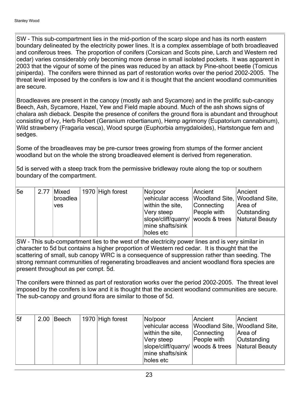SW - This sub-compartment lies in the mid-portion of the scarp slope and has its north eastern boundary delineated by the electricity power lines. It is a complex assemblage of both broadleaved and coniferous trees. The proportion of conifers (Corsican and Scots pine, Larch and Western red cedar) varies considerably only becoming more dense in small isolated pockets. It was apparent in 2003 that the vigour of some of the pines was reduced by an attack by Pine-shoot beetle (Tomicus piniperda). The conifers were thinned as part of restoration works over the period 2002-2005. The threat level imposed by the conifers is low and it is thought that the ancient woodland communities are secure.

Broadleaves are present in the canopy (mostly ash and Sycamore) and in the prolific sub-canopy Beech, Ash, Sycamore, Hazel, Yew and Field maple abound. Much of the ash shows signs of chalara ash dieback. Despite the presence of conifers the ground flora is abundant and throughout consisting of Ivy, Herb Robert (Geranium robertianum), Hemp agrimony (Eupatorium cannabinum), Wild strawberry (Fragaria vesca), Wood spurge (Euphorbia amygdaloides), Hartstongue fern and sedges.

Some of the broadleaves may be pre-cursor trees growing from stumps of the former ancient woodland but on the whole the strong broadleaved element is derived from regeneration.

5d is served with a steep track from the permissive bridleway route along the top or southern boundary of the compartment.

| 5e |      |            |                  |                                                  |             |                    |
|----|------|------------|------------------|--------------------------------------------------|-------------|--------------------|
|    | 2.77 | Mixed      | 1970 High forest | No/poor                                          | Ancient     | Ancient            |
|    |      | broadlea   |                  | vehicular access  Woodland Site,  Woodland Site, |             |                    |
|    |      | <b>ves</b> |                  | within the site,                                 | Connecting  | Area of            |
|    |      |            |                  | Very steep                                       | People with | <b>Outstanding</b> |
|    |      |            |                  | slope/cliff/quarry/ woods & trees Natural Beauty |             |                    |
|    |      |            |                  | mine shafts/sink                                 |             |                    |
|    |      |            |                  | holes etc                                        |             |                    |

SW - This sub-compartment lies to the west of the electricity power lines and is very similar in character to 5d but contains a higher proportion of Western red cedar. It is thought that the scattering of small, sub canopy WRC is a consequence of suppression rather than seeding. The strong remnant communities of regenerating broadleaves and ancient woodland flora species are present throughout as per compt. 5d.

The conifers were thinned as part of restoration works over the period 2002-2005. The threat level imposed by the conifers is low and it is thought that the ancient woodland communities are secure. The sub-canopy and ground flora are similar to those of 5d.

| 5f | $2.00$ Beech | 1970 High forest | No/poor<br>vehicular access<br>within the site,<br>Very steep<br>slope/cliff/quarry/ woods & trees | Ancient<br>Woodland Site, Woodland Site,<br>Connecting<br>People with | Ancient<br>Area of<br>Outstanding<br>Natural Beauty |
|----|--------------|------------------|----------------------------------------------------------------------------------------------------|-----------------------------------------------------------------------|-----------------------------------------------------|
|    |              |                  | mine shafts/sink<br>holes etc                                                                      |                                                                       |                                                     |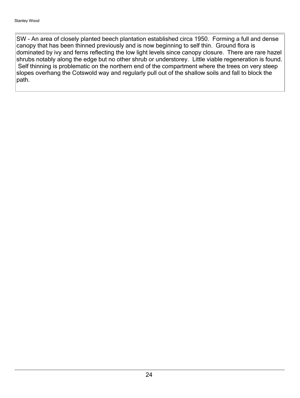SW - An area of closely planted beech plantation established circa 1950. Forming a full and dense canopy that has been thinned previously and is now beginning to self thin. Ground flora is dominated by ivy and ferns reflecting the low light levels since canopy closure. There are rare hazel shrubs notably along the edge but no other shrub or understorey. Little viable regeneration is found. Self thinning is problematic on the northern end of the compartment where the trees on very steep slopes overhang the Cotswold way and regularly pull out of the shallow soils and fall to block the path.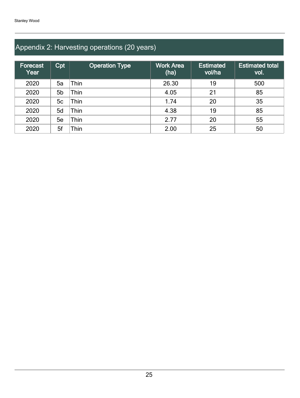## Appendix 2: Harvesting operations (20 years)

| Forecast<br>Year | Cpt | <b>Operation Type</b> | <b>Work Area</b><br>(ha) | Estimated<br>vol/ha | <b>Estimated total</b><br>vol. |
|------------------|-----|-----------------------|--------------------------|---------------------|--------------------------------|
| 2020             | 5a  | Thin                  | 26.30                    | 19                  | 500                            |
| 2020             | 5b  | Thin                  | 4.05                     | 21                  | 85                             |
| 2020             | 5c  | Thin                  | 1.74                     | 20                  | 35                             |
| 2020             | 5d  | Thin                  | 4.38                     | 19                  | 85                             |
| 2020             | 5e  | Thin                  | 2.77                     | 20                  | 55                             |
| 2020             | 5f  | Thin                  | 2.00                     | 25                  | 50                             |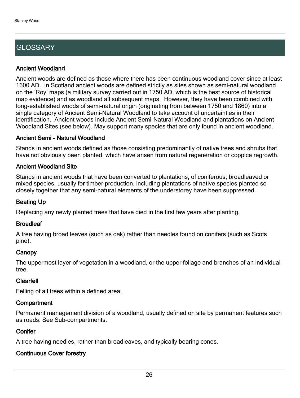## **GLOSSARY**

#### Ancient Woodland

Ancient woods are defined as those where there has been continuous woodland cover since at least 1600 AD. In Scotland ancient woods are defined strictly as sites shown as semi-natural woodland on the 'Roy' maps (a military survey carried out in 1750 AD, which is the best source of historical map evidence) and as woodland all subsequent maps. However, they have been combined with long-established woods of semi-natural origin (originating from between 1750 and 1860) into a single category of Ancient Semi-Natural Woodland to take account of uncertainties in their identification. Ancient woods include Ancient Semi-Natural Woodland and plantations on Ancient Woodland Sites (see below). May support many species that are only found in ancient woodland.

#### Ancient Semi - Natural Woodland

Stands in ancient woods defined as those consisting predominantly of native trees and shrubs that have not obviously been planted, which have arisen from natural regeneration or coppice regrowth.

#### Ancient Woodland Site

Stands in ancient woods that have been converted to plantations, of coniferous, broadleaved or mixed species, usually for timber production, including plantations of native species planted so closely together that any semi-natural elements of the understorey have been suppressed.

#### Beating Up

Replacing any newly planted trees that have died in the first few years after planting.

#### **Broadleaf**

A tree having broad leaves (such as oak) rather than needles found on conifers (such as Scots pine).

#### **Canopy**

The uppermost layer of vegetation in a woodland, or the upper foliage and branches of an individual tree.

#### Clearfell

Felling of all trees within a defined area.

#### **Compartment**

Permanent management division of a woodland, usually defined on site by permanent features such as roads. See Sub-compartments.

#### **Conifer**

A tree having needles, rather than broadleaves, and typically bearing cones.

#### Continuous Cover forestry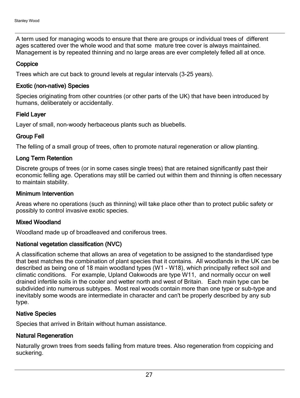A term used for managing woods to ensure that there are groups or individual trees of different ages scattered over the whole wood and that some mature tree cover is always maintained. Management is by repeated thinning and no large areas are ever completely felled all at once.

#### **Coppice**

Trees which are cut back to ground levels at regular intervals (3-25 years).

#### Exotic (non-native) Species

Species originating from other countries (or other parts of the UK) that have been introduced by humans, deliberately or accidentally.

#### Field Layer

Layer of small, non-woody herbaceous plants such as bluebells.

#### Group Fell

The felling of a small group of trees, often to promote natural regeneration or allow planting.

#### Long Term Retention

Discrete groups of trees (or in some cases single trees) that are retained significantly past their economic felling age. Operations may still be carried out within them and thinning is often necessary to maintain stability.

#### Minimum Intervention

Areas where no operations (such as thinning) will take place other than to protect public safety or possibly to control invasive exotic species.

#### Mixed Woodland

Woodland made up of broadleaved and coniferous trees.

#### National vegetation classification (NVC)

A classification scheme that allows an area of vegetation to be assigned to the standardised type that best matches the combination of plant species that it contains. All woodlands in the UK can be described as being one of 18 main woodland types (W1 - W18), which principally reflect soil and climatic conditions. For example, Upland Oakwoods are type W11, and normally occur on well drained infertile soils in the cooler and wetter north and west of Britain. Each main type can be subdivided into numerous subtypes. Most real woods contain more than one type or sub-type and inevitably some woods are intermediate in character and can't be properly described by any sub type.

#### Native Species

Species that arrived in Britain without human assistance.

#### Natural Regeneration

Naturally grown trees from seeds falling from mature trees. Also regeneration from coppicing and suckering.